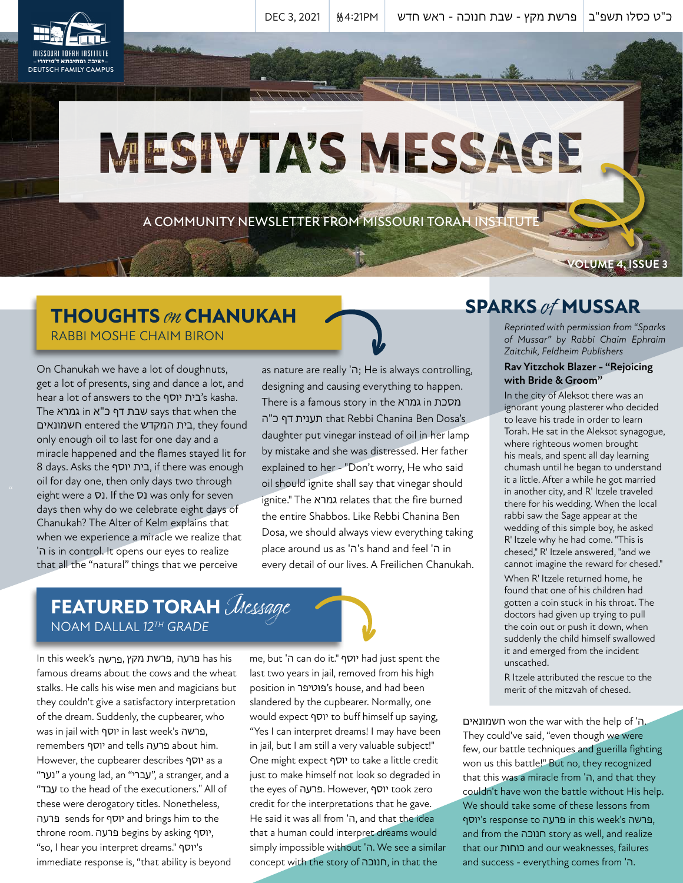כ"ט כסלו תשפ"ב | פרשת מקץ - שבת חנוכה - ראש חדש | 0EC 3, 2021 | <u>8</u>4:21PM

# MESIVTA'S MESSAGE

A COMMUNITY NEWSLETTER FROM MISSOURI TORAH INSTITUTE

### **THOUGHTS** on **CHANUKAH** RABBI MOSHE CHAIM BIRON

" oil for day one, then only days two through On Chanukah we have a lot of doughnuts, get a lot of presents, sing and dance a lot, and hear a lot of answers to the יוסף בית's kasha. The אבת דף כ"א in גמרא says that when the חשמונאים entered the המקדש בית, they found only enough oil to last for one day and a miracle happened and the flames stayed lit for 8 days. Asks the יוסף בית, if there was enough eight were a  $\nabla$ 1. If the  $\nabla$ 1 was only for seven days then why do we celebrate eight days of Chanukah? The Alter of Kelm explains that when we experience a miracle we realize that 'ה is in control. It opens our eyes to realize that all the "natural" things that we perceive

as nature are really 'ה; He is always controlling, designing and causing everything to happen. There is a famous story in the גמרא in מסכת תענית דף כ"ה that Rebbi Chanina Ben Dosa's daughter put vinegar instead of oil in her lamp by mistake and she was distressed. Her father explained to her - "Don't worry, He who said oil should ignite shall say that vinegar should ignite." The גמרא relates that the fire burned the entire Shabbos. Like Rebbi Chanina Ben Dosa, we should always view everything taking place around us as 'ה's hand and feel 'ה in every detail of our lives. A Freilichen Chanukah.

# **FEATURED TORAH** Message NOAM DALLAL *12TH GRADE*

In this week's , מקץ פרשת, פרעה has his פרשהfamous dreams about the cows and the wheat stalks. He calls his wise men and magicians but they couldn't give a satisfactory interpretation of the dream. Suddenly, the cupbearer, who was in jail with יוסף in last week's פרשה, remembers יוסף and tells פרעה about him. However, the cupbearer describes יוסף as a "נער "a young lad, an "עברי", a stranger, and a "עבד to the head of the executioners." All of these were derogatory titles. Nonetheless, פרעה sends for יוסף and brings him to the throne room. פרעה begins by asking יוסף, "so, I hear you interpret dreams." יוסף's immediate response is, "that ability is beyond

me, but 'ה can do it." יוסף had just spent the last two years in jail, removed from his high position in פוטיפר's house, and had been slandered by the cupbearer. Normally, one would expect יוסף to buff himself up saying, "Yes I can interpret dreams! I may have been in jail, but I am still a very valuable subject!" One might expect יוסף to take a little credit just to make himself not look so degraded in the eyes of פרעה. However, יוסף took zero credit for the interpretations that he gave. He said it was all from 'ה, and that the idea that a human could interpret dreams would simply impossible without 'ה. We see a similar concept with the story of חנוכה, in that the

## **SPARKS** of **MUSSAR**

*Reprinted with permission from "Sparks of Mussar" by Rabbi Chaim Ephraim Zaitchik, Feldheim Publishers*

**VOLUME 4, ISSUE 3**

#### **Rav Yitzchok Blazer - "Rejoicing with Bride & Groom"**

In the city of Aleksot there was an ignorant young plasterer who decided to leave his trade in order to learn Torah. He sat in the Aleksot synagogue, where righteous women brought his meals, and spent all day learning chumash until he began to understand it a little. After a while he got married in another city, and R' Itzele traveled there for his wedding. When the local rabbi saw the Sage appear at the wedding of this simple boy, he asked R' Itzele why he had come. "This is chesed," R' Itzele answered, "and we cannot imagine the reward for chesed."

When R' Itzele returned home, he found that one of his children had gotten a coin stuck in his throat. The doctors had given up trying to pull the coin out or push it down, when suddenly the child himself swallowed it and emerged from the incident unscathed.

R Itzele attributed the rescue to the merit of the mitzvah of chesed.

חשמונאים won the war with the help of 'ה. They could've said, "even though we were few, our battle techniques and guerilla fighting won us this battle!" But no, they recognized that this was a miracle from 'ה, and that they couldn't have won the battle without His help. We should take some of these lessons from יוסף's response to פרעה in this week's פרשה, and from the חנוכה story as well, and realize that our כוחות and our weaknesses, failures and success - everything comes from 'ה.